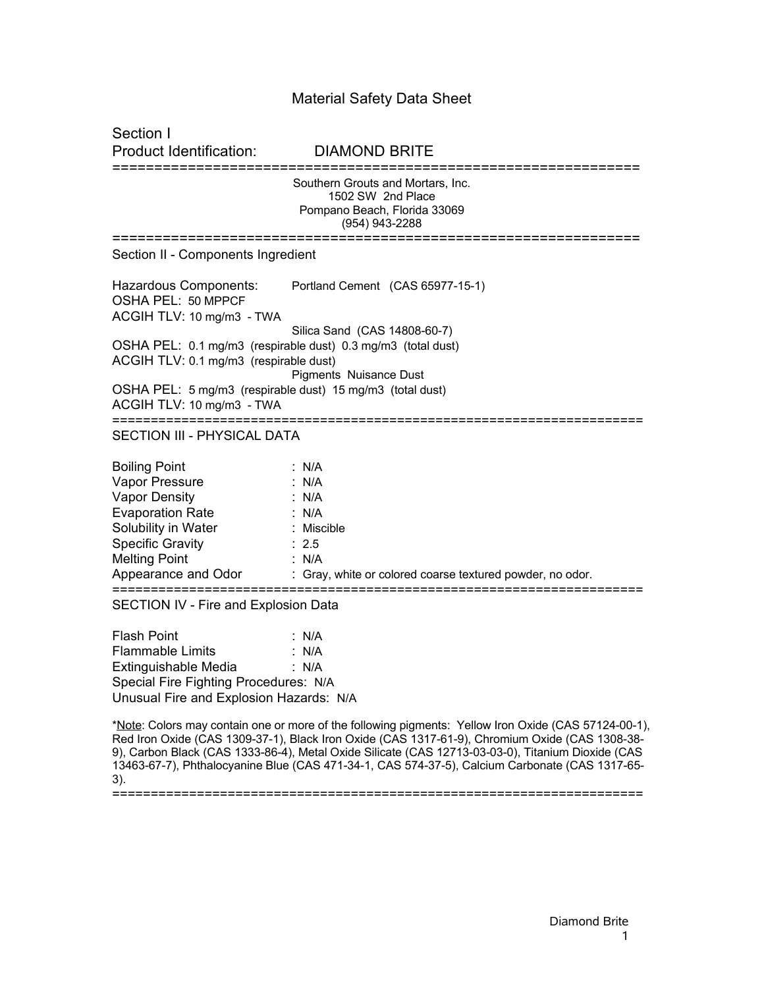## Material Safety Data Sheet

Section I Product Identification: DIAMOND BRITE =============================================================== Southern Grouts and Mortars, Inc. 1502 SW 2nd Place Pompano Beach, Florida 33069 (954) 943-2288 =============================================================== Section II - Components Ingredient Hazardous Components: Portland Cement (CAS 65977-15-1) OSHA PEL: 50 MPPCF ACGIH TLV: 10 mg/m3 - TWA Silica Sand (CAS 14808-60-7) OSHA PEL: 0.1 mg/m3 (respirable dust) 0.3 mg/m3 (total dust) ACGIH TLV: 0.1 mg/m3 (respirable dust) Pigments Nuisance Dust OSHA PEL: 5 mg/m3 (respirable dust) 15 mg/m3 (total dust) ACGIH TLV: 10 mg/m3 - TWA ===================================================================== SECTION III - PHYSICAL DATA Boiling Point : N/A Vapor Pressure : N/A Vapor Density : N/A Evaporation Rate : N/A Solubility in Water : Miscible Specific Gravity : 2.5 Melting Point : N/A Appearance and Odor : Gray, white or colored coarse textured powder, no odor. ===================================================================== SECTION IV - Fire and Explosion Data Flash Point : N/A

Flammable Limits : N/A Extinguishable Media : N/A Special Fire Fighting Procedures: N/A Unusual Fire and Explosion Hazards: N/A

\*Note: Colors may contain one or more of the following pigments: Yellow Iron Oxide (CAS 57124-00-1), Red Iron Oxide (CAS 1309-37-1), Black Iron Oxide (CAS 1317-61-9), Chromium Oxide (CAS 1308-38- 9), Carbon Black (CAS 1333-86-4), Metal Oxide Silicate (CAS 12713-03-03-0), Titanium Dioxide (CAS 13463-67-7), Phthalocyanine Blue (CAS 471-34-1, CAS 574-37-5), Calcium Carbonate (CAS 1317-65- 3). =====================================================================